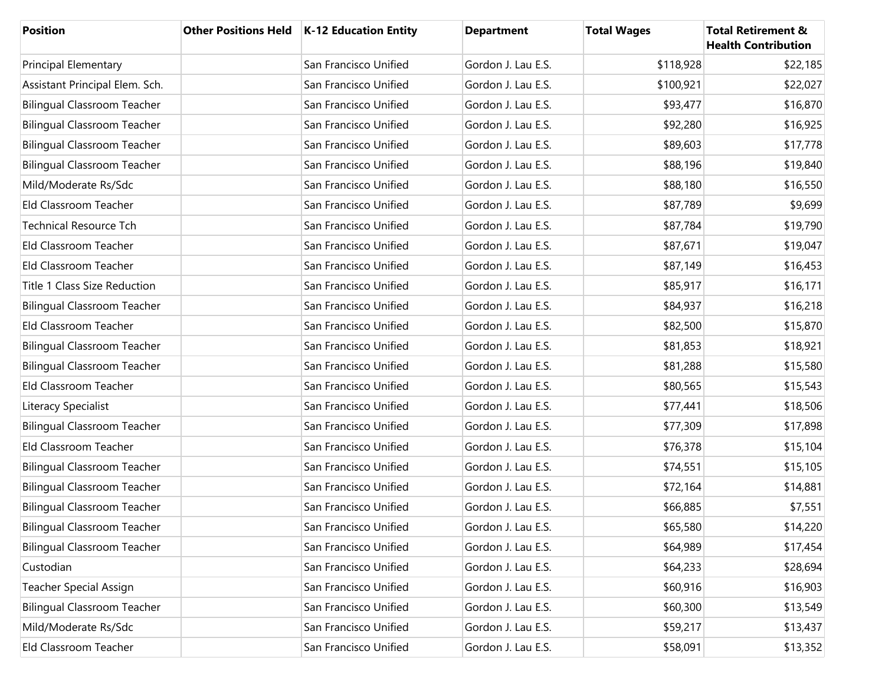| <b>Position</b>                    | Other Positions Held   K-12 Education Entity | <b>Department</b>  | <b>Total Wages</b> | <b>Total Retirement &amp;</b><br><b>Health Contribution</b> |
|------------------------------------|----------------------------------------------|--------------------|--------------------|-------------------------------------------------------------|
| <b>Principal Elementary</b>        | San Francisco Unified                        | Gordon J. Lau E.S. | \$118,928          | \$22,185                                                    |
| Assistant Principal Elem. Sch.     | San Francisco Unified                        | Gordon J. Lau E.S. | \$100,921          | \$22,027                                                    |
| <b>Bilingual Classroom Teacher</b> | San Francisco Unified                        | Gordon J. Lau E.S. | \$93,477           | \$16,870                                                    |
| <b>Bilingual Classroom Teacher</b> | San Francisco Unified                        | Gordon J. Lau E.S. | \$92,280           | \$16,925                                                    |
| <b>Bilingual Classroom Teacher</b> | San Francisco Unified                        | Gordon J. Lau E.S. | \$89,603           | \$17,778                                                    |
| <b>Bilingual Classroom Teacher</b> | San Francisco Unified                        | Gordon J. Lau E.S. | \$88,196           | \$19,840                                                    |
| Mild/Moderate Rs/Sdc               | San Francisco Unified                        | Gordon J. Lau E.S. | \$88,180           | \$16,550                                                    |
| Eld Classroom Teacher              | San Francisco Unified                        | Gordon J. Lau E.S. | \$87,789           | \$9,699                                                     |
| <b>Technical Resource Tch</b>      | San Francisco Unified                        | Gordon J. Lau E.S. | \$87,784           | \$19,790                                                    |
| Eld Classroom Teacher              | San Francisco Unified                        | Gordon J. Lau E.S. | \$87,671           | \$19,047                                                    |
| Eld Classroom Teacher              | San Francisco Unified                        | Gordon J. Lau E.S. | \$87,149           | \$16,453                                                    |
| Title 1 Class Size Reduction       | San Francisco Unified                        | Gordon J. Lau E.S. | \$85,917           | \$16,171                                                    |
| <b>Bilingual Classroom Teacher</b> | San Francisco Unified                        | Gordon J. Lau E.S. | \$84,937           | \$16,218                                                    |
| Eld Classroom Teacher              | San Francisco Unified                        | Gordon J. Lau E.S. | \$82,500           | \$15,870                                                    |
| <b>Bilingual Classroom Teacher</b> | San Francisco Unified                        | Gordon J. Lau E.S. | \$81,853           | \$18,921                                                    |
| <b>Bilingual Classroom Teacher</b> | San Francisco Unified                        | Gordon J. Lau E.S. | \$81,288           | \$15,580                                                    |
| Eld Classroom Teacher              | San Francisco Unified                        | Gordon J. Lau E.S. | \$80,565           | \$15,543                                                    |
| Literacy Specialist                | San Francisco Unified                        | Gordon J. Lau E.S. | \$77,441           | \$18,506                                                    |
| <b>Bilingual Classroom Teacher</b> | San Francisco Unified                        | Gordon J. Lau E.S. | \$77,309           | \$17,898                                                    |
| Eld Classroom Teacher              | San Francisco Unified                        | Gordon J. Lau E.S. | \$76,378           | \$15,104                                                    |
| <b>Bilingual Classroom Teacher</b> | San Francisco Unified                        | Gordon J. Lau E.S. | \$74,551           | \$15,105                                                    |
| <b>Bilingual Classroom Teacher</b> | San Francisco Unified                        | Gordon J. Lau E.S. | \$72,164           | \$14,881                                                    |
| <b>Bilingual Classroom Teacher</b> | San Francisco Unified                        | Gordon J. Lau E.S. | \$66,885           | \$7,551                                                     |
| <b>Bilingual Classroom Teacher</b> | San Francisco Unified                        | Gordon J. Lau E.S. | \$65,580           | \$14,220                                                    |
| <b>Bilingual Classroom Teacher</b> | San Francisco Unified                        | Gordon J. Lau E.S. | \$64,989           | \$17,454                                                    |
| Custodian                          | San Francisco Unified                        | Gordon J. Lau E.S. | \$64,233           | \$28,694                                                    |
| <b>Teacher Special Assign</b>      | San Francisco Unified                        | Gordon J. Lau E.S. | \$60,916           | \$16,903                                                    |
| <b>Bilingual Classroom Teacher</b> | San Francisco Unified                        | Gordon J. Lau E.S. | \$60,300           | \$13,549                                                    |
| Mild/Moderate Rs/Sdc               | San Francisco Unified                        | Gordon J. Lau E.S. | \$59,217           | \$13,437                                                    |
| Eld Classroom Teacher              | San Francisco Unified                        | Gordon J. Lau E.S. | \$58,091           | \$13,352                                                    |